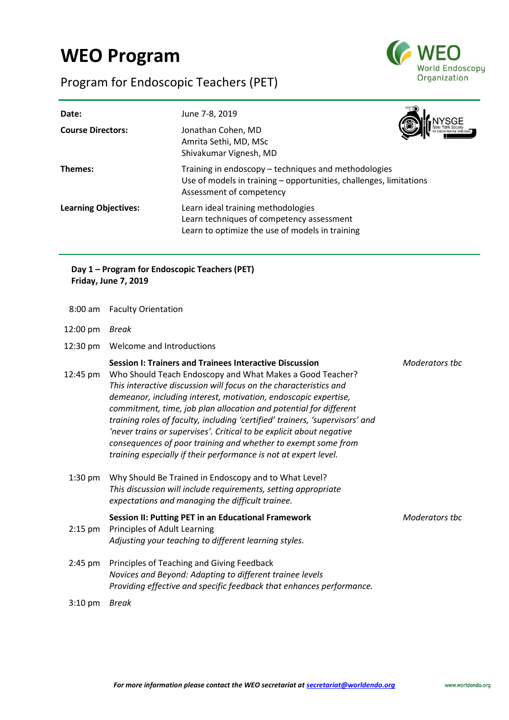# **WEO Program**

Program for Endoscopic Teachers (PET)



| Date:<br><b>Course Directors:</b> | June 7-8, 2019<br>Jonathan Cohen, MD<br>Amrita Sethi, MD, MSc<br>Shivakumar Vignesh, MD                                                                |  |
|-----------------------------------|--------------------------------------------------------------------------------------------------------------------------------------------------------|--|
| Themes:                           | Training in endoscopy – techniques and methodologies<br>Use of models in training – opportunities, challenges, limitations<br>Assessment of competency |  |
| <b>Learning Objectives:</b>       | Learn ideal training methodologies<br>Learn techniques of competency assessment<br>Learn to optimize the use of models in training                     |  |

# **Day 1 – Program for Endoscopic Teachers (PET) Friday, June 7, 2019**

- 8:00 am Faculty Orientation
- 12:00 pm *Break*
- 12:30 pm Welcome and Introductions

# **Session I: Trainers and Trainees Interactive Discussion** *Moderators tbc*

- 12:45 pm Who Should Teach Endoscopy and What Makes a Good Teacher? *This interactive discussion will focus on the characteristics and demeanor, including interest, motivation, endoscopic expertise, commitment, time, job plan allocation and potential for different training roles of faculty, including 'certified' trainers, 'supervisors' and 'never trains or supervises'. Critical to be explicit about negative consequences of poor training and whether to exempt some from training especially if their performance is not at expert level.*
- 1:30 pm Why Should Be Trained in Endoscopy and to What Level? *This discussion will include requirements, setting appropriate expectations and managing the difficult trainee.*

- **Session II: Putting PET in an Educational Framework** *Moderators tbc* 2:15 pm Principles of Adult Learning *Adjusting your teaching to different learning styles.*
- 2:45 pm Principles of Teaching and Giving Feedback *Novices and Beyond: Adapting to different trainee levels Providing effective and specific feedback that enhances performance.*
- 3:10 pm *Break*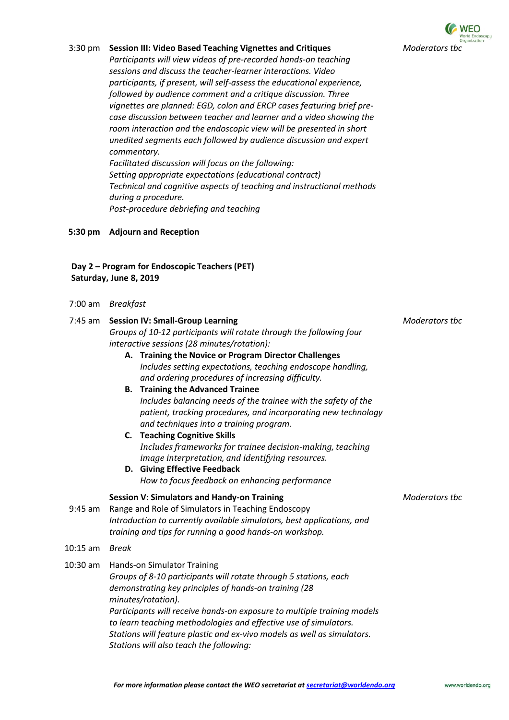

#### 3:30 pm **Session III: Video Based Teaching Vignettes and Critiques**

*Participants will view videos of pre-recorded hands-on teaching sessions and discuss the teacher-learner interactions. Video participants, if present, will self-assess the educational experience, followed by audience comment and a critique discussion. Three vignettes are planned: EGD, colon and ERCP cases featuring brief precase discussion between teacher and learner and a video showing the room interaction and the endoscopic view will be presented in short unedited segments each followed by audience discussion and expert commentary. Facilitated discussion will focus on the following:*

*Setting appropriate expectations (educational contract) Technical and cognitive aspects of teaching and instructional methods during a procedure. Post-procedure debriefing and teaching*

#### **5:30 pm Adjourn and Reception**

# **Day 2 – Program for Endoscopic Teachers (PET) Saturday, June 8, 2019**

| $7:00 \text{ am}$ | <b>Breakfast</b> |
|-------------------|------------------|
|-------------------|------------------|

|  |                                                                     | 7:45 am Session IV: Small-Group Learning                                                                                                                                  | Moderators tbc |
|--|---------------------------------------------------------------------|---------------------------------------------------------------------------------------------------------------------------------------------------------------------------|----------------|
|  | Groups of 10-12 participants will rotate through the following four |                                                                                                                                                                           |                |
|  |                                                                     | interactive sessions (28 minutes/rotation):                                                                                                                               |                |
|  |                                                                     | A. Training the Novice or Program Director Challenges<br>Includes setting expectations, teaching endoscope handling,<br>and ordering procedures of increasing difficulty. |                |
|  |                                                                     | <b>B.</b> Training the Advanced Trainee                                                                                                                                   |                |

*Includes balancing needs of the trainee with the safety of the patient, tracking procedures, and incorporating new technology and techniques into a training program.*

- **C. Teaching Cognitive Skills** *Includes frameworks for trainee decision-making, teaching image interpretation, and identifying resources.*
- **D. Giving Effective Feedback** *How to focus feedback on enhancing performance*

#### **Session V: Simulators and Handy-on Training** *Moderators tbc*

- 9:45 am Range and Role of Simulators in Teaching Endoscopy *Introduction to currently available simulators, best applications, and training and tips for running a good hands-on workshop.*
- 10:15 am *Break*

10:30 am Hands-on Simulator Training *Groups of 8-10 participants will rotate through 5 stations, each demonstrating key principles of hands-on training (28 minutes/rotation). Participants will receive hands-on exposure to multiple training models to learn teaching methodologies and effective use of simulators. Stations will feature plastic and ex-vivo models as well as simulators. Stations will also teach the following:*